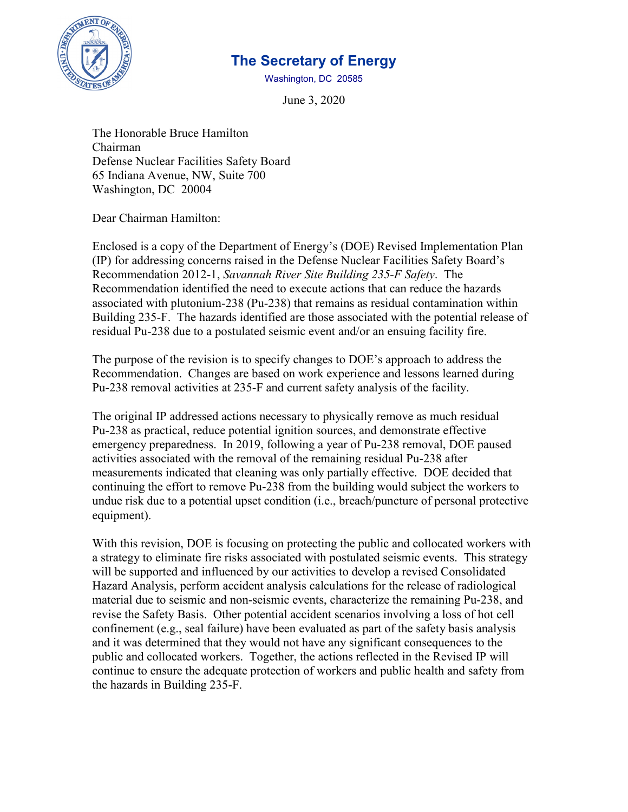

# **The Secretary of Energy**

Washington, DC 20585

June 3, 2020

 The Honorable Bruce Hamilton Chairman Defense Nuclear Facilities Safety Board 65 Indiana Avenue, NW, Suite 700 Washington, DC 20004

Dear Chairman Hamilton:

 (IP) for addressing concerns raised in the Defense Nuclear Facilities Safety Board's residual Pu-238 due to a postulated seismic event and/or an ensuing facility fire. Enclosed is a copy of the Department of Energy's (DOE) Revised Implementation Plan Recommendation 2012-1, *Savannah River Site Building 235-F Safety*. The Recommendation identified the need to execute actions that can reduce the hazards associated with plutonium-238 (Pu-238) that remains as residual contamination within Building 235-F. The hazards identified are those associated with the potential release of

The purpose of the revision is to specify changes to DOE's approach to address the Recommendation. Changes are based on work experience and lessons learned during Pu-238 removal activities at 235-F and current safety analysis of the facility.

 The original IP addressed actions necessary to physically remove as much residual emergency preparedness. In 2019, following a year of Pu-238 removal, DOE paused Pu-238 as practical, reduce potential ignition sources, and demonstrate effective activities associated with the removal of the remaining residual Pu-238 after measurements indicated that cleaning was only partially effective. DOE decided that continuing the effort to remove Pu-238 from the building would subject the workers to undue risk due to a potential upset condition (i.e., breach/puncture of personal protective equipment).

 a strategy to eliminate fire risks associated with postulated seismic events. This strategy Hazard Analysis, perform accident analysis calculations for the release of radiological revise the Safety Basis. Other potential accident scenarios involving a loss of hot cell confinement (e.g., seal failure) have been evaluated as part of the safety basis analysis and it was determined that they would not have any significant consequences to the With this revision, DOE is focusing on protecting the public and collocated workers with will be supported and influenced by our activities to develop a revised Consolidated material due to seismic and non-seismic events, characterize the remaining Pu-238, and public and collocated workers. Together, the actions reflected in the Revised IP will continue to ensure the adequate protection of workers and public health and safety from the hazards in Building 235-F.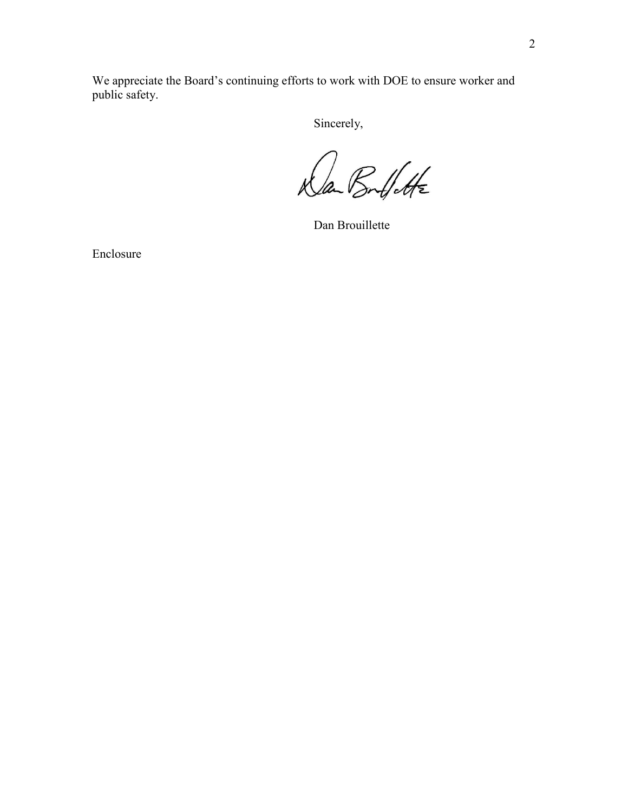We appreciate the Board's continuing efforts to work with DOE to ensure worker and public safety.

Sincerely,

Dan Boulfette

Dan Brouillette

Enclosure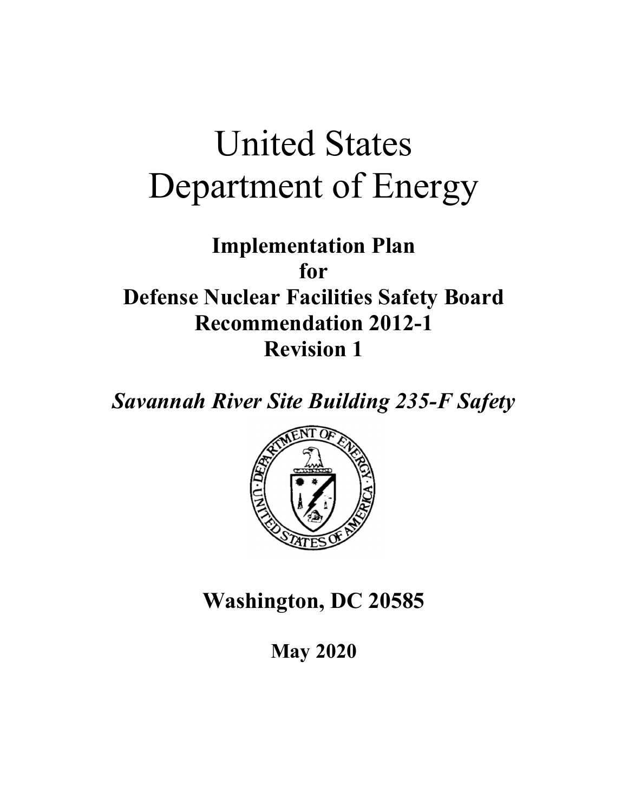# United States Department of Energy

**Implementation Plan for Defense Nuclear Facilities Safety Board Recommendation 2012-1 Revision 1** 

*Savannah River Site Building 235-F Safety* 



**Washington, DC 20585** 

**May 2020**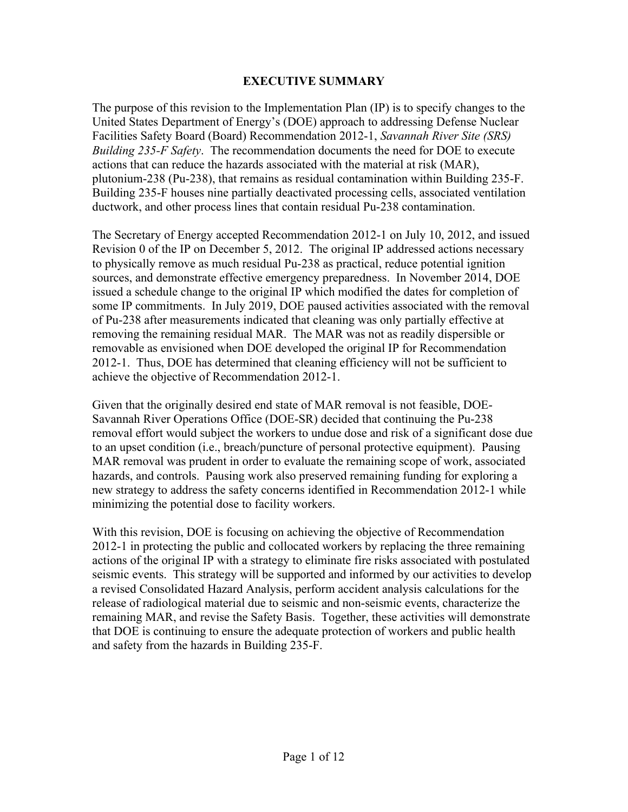#### **EXECUTIVE SUMMARY**

The purpose of this revision to the Implementation Plan (IP) is to specify changes to the United States Department of Energy's (DOE) approach to addressing Defense Nuclear Facilities Safety Board (Board) Recommendation 2012-1, *Savannah River Site (SRS) Building 235-F Safety*. The recommendation documents the need for DOE to execute actions that can reduce the hazards associated with the material at risk (MAR), plutonium-238 (Pu-238), that remains as residual contamination within Building 235-F. Building 235-F houses nine partially deactivated processing cells, associated ventilation ductwork, and other process lines that contain residual Pu-238 contamination.

The Secretary of Energy accepted Recommendation 2012-1 on July 10, 2012, and issued Revision 0 of the IP on December 5, 2012. The original IP addressed actions necessary to physically remove as much residual Pu-238 as practical, reduce potential ignition sources, and demonstrate effective emergency preparedness. In November 2014, DOE issued a schedule change to the original IP which modified the dates for completion of some IP commitments. In July 2019, DOE paused activities associated with the removal of Pu-238 after measurements indicated that cleaning was only partially effective at removing the remaining residual MAR. The MAR was not as readily dispersible or removable as envisioned when DOE developed the original IP for Recommendation 2012-1. Thus, DOE has determined that cleaning efficiency will not be sufficient to achieve the objective of Recommendation 2012-1.

minimizing the potential dose to facility workers. Given that the originally desired end state of MAR removal is not feasible, DOE-Savannah River Operations Office (DOE-SR) decided that continuing the Pu-238 removal effort would subject the workers to undue dose and risk of a significant dose due to an upset condition (i.e., breach/puncture of personal protective equipment). Pausing MAR removal was prudent in order to evaluate the remaining scope of work, associated hazards, and controls. Pausing work also preserved remaining funding for exploring a new strategy to address the safety concerns identified in Recommendation 2012-1 while

With this revision, DOE is focusing on achieving the objective of Recommendation 2012-1 in protecting the public and collocated workers by replacing the three remaining actions of the original IP with a strategy to eliminate fire risks associated with postulated seismic events. This strategy will be supported and informed by our activities to develop a revised Consolidated Hazard Analysis, perform accident analysis calculations for the release of radiological material due to seismic and non-seismic events, characterize the remaining MAR, and revise the Safety Basis. Together, these activities will demonstrate that DOE is continuing to ensure the adequate protection of workers and public health and safety from the hazards in Building 235-F.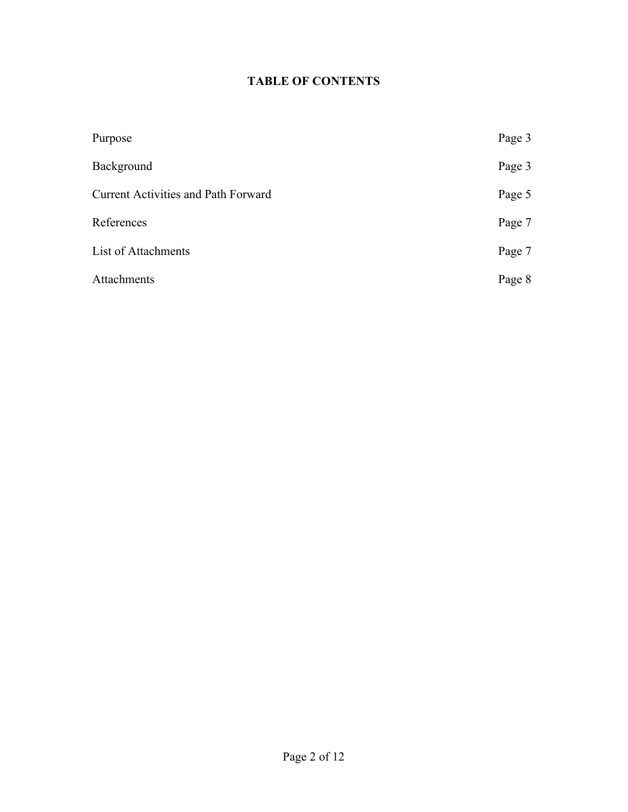# **TABLE OF CONTENTS**

| Purpose                                    | Page 3 |
|--------------------------------------------|--------|
| Background                                 | Page 3 |
| <b>Current Activities and Path Forward</b> | Page 5 |
| References                                 | Page 7 |
| List of Attachments                        | Page 7 |
| Attachments                                | Page 8 |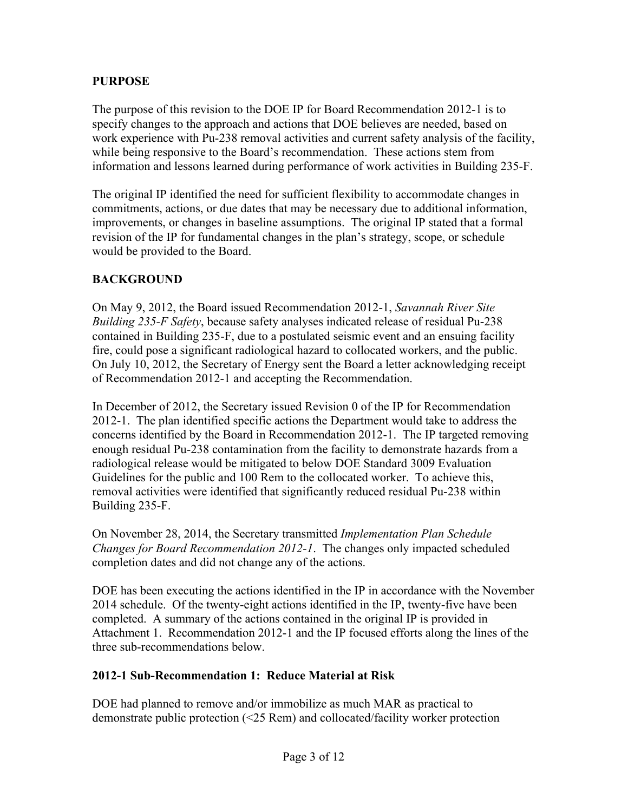#### **PURPOSE**

The purpose of this revision to the DOE IP for Board Recommendation 2012-1 is to specify changes to the approach and actions that DOE believes are needed, based on work experience with Pu-238 removal activities and current safety analysis of the facility, while being responsive to the Board's recommendation. These actions stem from information and lessons learned during performance of work activities in Building 235-F.

The original IP identified the need for sufficient flexibility to accommodate changes in commitments, actions, or due dates that may be necessary due to additional information, improvements, or changes in baseline assumptions. The original IP stated that a formal revision of the IP for fundamental changes in the plan's strategy, scope, or schedule would be provided to the Board.

#### **BACKGROUND**

On May 9, 2012, the Board issued Recommendation 2012-1, *Savannah River Site Building 235-F Safety*, because safety analyses indicated release of residual Pu-238 contained in Building 235-F, due to a postulated seismic event and an ensuing facility fire, could pose a significant radiological hazard to collocated workers, and the public. On July 10, 2012, the Secretary of Energy sent the Board a letter acknowledging receipt of Recommendation 2012-1 and accepting the Recommendation.

In December of 2012, the Secretary issued Revision 0 of the IP for Recommendation 2012-1. The plan identified specific actions the Department would take to address the concerns identified by the Board in Recommendation 2012-1. The IP targeted removing enough residual Pu-238 contamination from the facility to demonstrate hazards from a radiological release would be mitigated to below DOE Standard 3009 Evaluation Guidelines for the public and 100 Rem to the collocated worker. To achieve this, removal activities were identified that significantly reduced residual Pu-238 within Building 235-F.

On November 28, 2014, the Secretary transmitted *Implementation Plan Schedule Changes for Board Recommendation 2012-1*. The changes only impacted scheduled completion dates and did not change any of the actions.

DOE has been executing the actions identified in the IP in accordance with the November 2014 schedule. Of the twenty-eight actions identified in the IP, twenty-five have been completed. A summary of the actions contained in the original IP is provided in Attachment 1. Recommendation 2012-1 and the IP focused efforts along the lines of the three sub-recommendations below.

#### **2012-1 Sub-Recommendation 1: Reduce Material at Risk**

DOE had planned to remove and/or immobilize as much MAR as practical to demonstrate public protection (<25 Rem) and collocated/facility worker protection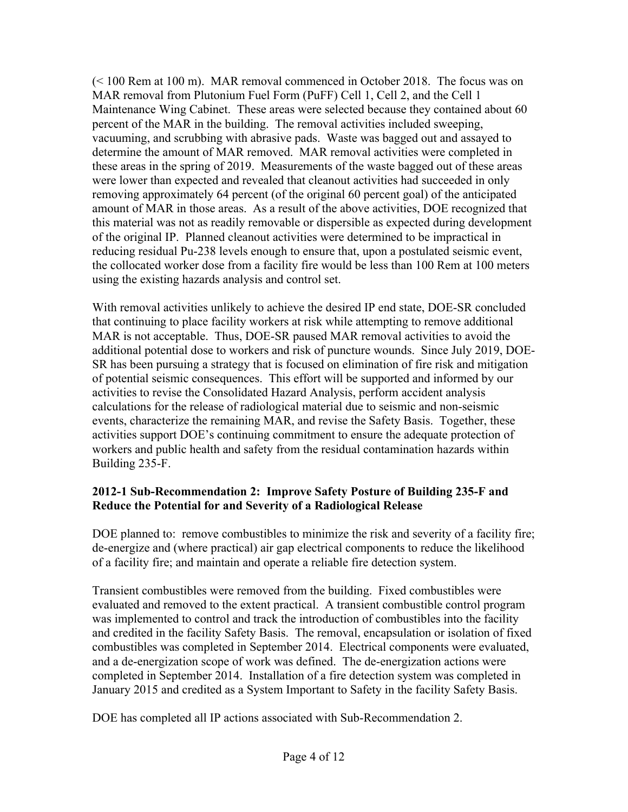(< 100 Rem at 100 m). MAR removal commenced in October 2018. The focus was on MAR removal from Plutonium Fuel Form (PuFF) Cell 1, Cell 2, and the Cell 1 Maintenance Wing Cabinet. These areas were selected because they contained about 60 percent of the MAR in the building. The removal activities included sweeping, vacuuming, and scrubbing with abrasive pads. Waste was bagged out and assayed to determine the amount of MAR removed. MAR removal activities were completed in these areas in the spring of 2019. Measurements of the waste bagged out of these areas were lower than expected and revealed that cleanout activities had succeeded in only removing approximately 64 percent (of the original 60 percent goal) of the anticipated amount of MAR in those areas. As a result of the above activities, DOE recognized that this material was not as readily removable or dispersible as expected during development of the original IP. Planned cleanout activities were determined to be impractical in reducing residual Pu-238 levels enough to ensure that, upon a postulated seismic event, the collocated worker dose from a facility fire would be less than 100 Rem at 100 meters using the existing hazards analysis and control set.

With removal activities unlikely to achieve the desired IP end state, DOE-SR concluded that continuing to place facility workers at risk while attempting to remove additional MAR is not acceptable. Thus, DOE-SR paused MAR removal activities to avoid the additional potential dose to workers and risk of puncture wounds. Since July 2019, DOE-SR has been pursuing a strategy that is focused on elimination of fire risk and mitigation of potential seismic consequences. This effort will be supported and informed by our activities to revise the Consolidated Hazard Analysis, perform accident analysis calculations for the release of radiological material due to seismic and non-seismic events, characterize the remaining MAR, and revise the Safety Basis. Together, these activities support DOE's continuing commitment to ensure the adequate protection of workers and public health and safety from the residual contamination hazards within Building 235-F.

#### **2012-1 Sub-Recommendation 2: Improve Safety Posture of Building 235-F and Reduce the Potential for and Severity of a Radiological Release**

DOE planned to: remove combustibles to minimize the risk and severity of a facility fire; de-energize and (where practical) air gap electrical components to reduce the likelihood of a facility fire; and maintain and operate a reliable fire detection system.

Transient combustibles were removed from the building. Fixed combustibles were evaluated and removed to the extent practical. A transient combustible control program was implemented to control and track the introduction of combustibles into the facility and credited in the facility Safety Basis. The removal, encapsulation or isolation of fixed combustibles was completed in September 2014. Electrical components were evaluated, and a de-energization scope of work was defined. The de-energization actions were completed in September 2014. Installation of a fire detection system was completed in January 2015 and credited as a System Important to Safety in the facility Safety Basis.

DOE has completed all IP actions associated with Sub-Recommendation 2.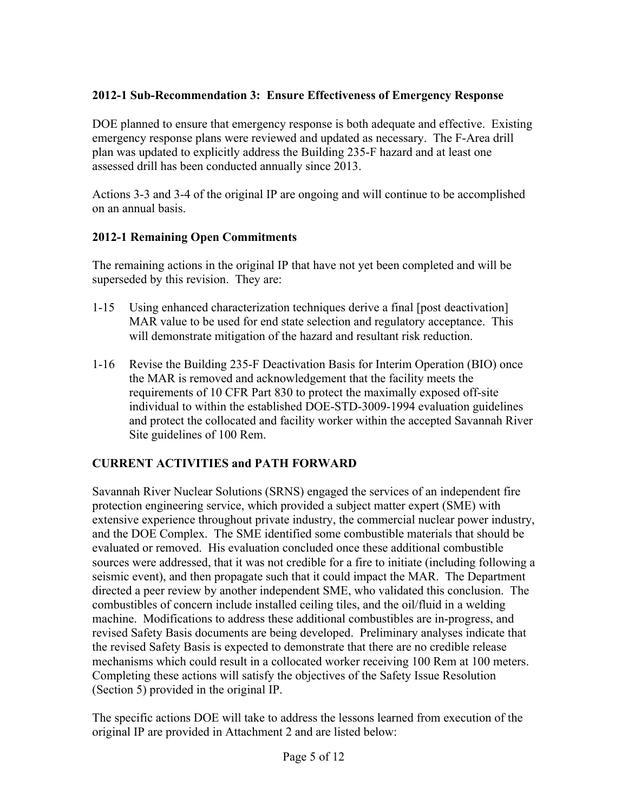#### **2012-1 Sub-Recommendation 3: Ensure Effectiveness of Emergency Response**

DOE planned to ensure that emergency response is both adequate and effective. Existing emergency response plans were reviewed and updated as necessary. The F-Area drill plan was updated to explicitly address the Building 235-F hazard and at least one assessed drill has been conducted annually since 2013.

Actions 3-3 and 3-4 of the original IP are ongoing and will continue to be accomplished on an annual basis.

#### **2012-1 Remaining Open Commitments**

The remaining actions in the original IP that have not yet been completed and will be superseded by this revision. They are:

- 1-15 Using enhanced characterization techniques derive a final [post deactivation] MAR value to be used for end state selection and regulatory acceptance. This will demonstrate mitigation of the hazard and resultant risk reduction.
- 1-16 Revise the Building 235-F Deactivation Basis for Interim Operation (BIO) once the MAR is removed and acknowledgement that the facility meets the requirements of 10 CFR Part 830 to protect the maximally exposed off-site individual to within the established DOE-STD-3009-1994 evaluation guidelines and protect the collocated and facility worker within the accepted Savannah River Site guidelines of 100 Rem.

## **CURRENT ACTIVITIES and PATH FORWARD**

Savannah River Nuclear Solutions (SRNS) engaged the services of an independent fire protection engineering service, which provided a subject matter expert (SME) with extensive experience throughout private industry, the commercial nuclear power industry, and the DOE Complex. The SME identified some combustible materials that should be evaluated or removed. His evaluation concluded once these additional combustible sources were addressed, that it was not credible for a fire to initiate (including following a seismic event), and then propagate such that it could impact the MAR. The Department directed a peer review by another independent SME, who validated this conclusion. The combustibles of concern include installed ceiling tiles, and the oil/fluid in a welding machine. Modifications to address these additional combustibles are in-progress, and revised Safety Basis documents are being developed. Preliminary analyses indicate that the revised Safety Basis is expected to demonstrate that there are no credible release mechanisms which could result in a collocated worker receiving 100 Rem at 100 meters. Completing these actions will satisfy the objectives of the Safety Issue Resolution (Section 5) provided in the original IP.

The specific actions DOE will take to address the lessons learned from execution of the original IP are provided in Attachment 2 and are listed below: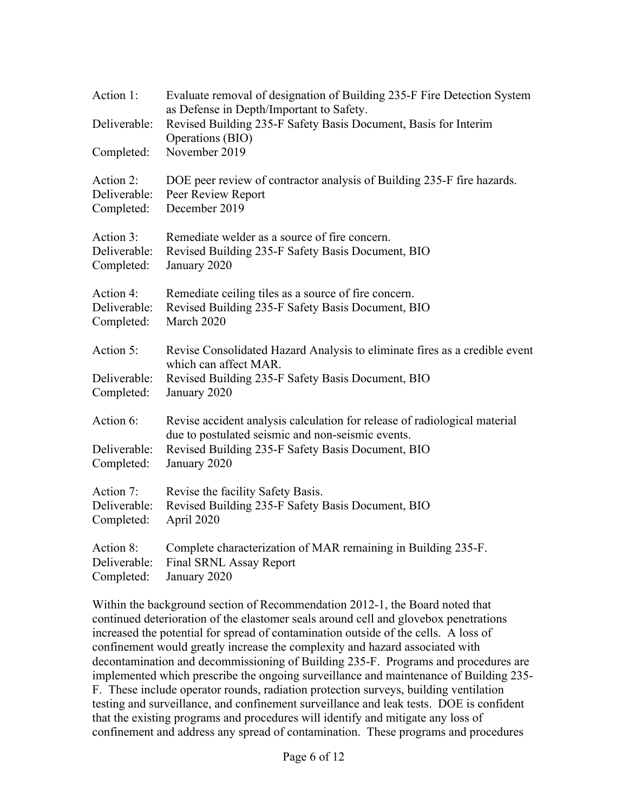| Action 1:    | Evaluate removal of designation of Building 235-F Fire Detection System<br>as Defense in Depth/Important to Safety.            |
|--------------|--------------------------------------------------------------------------------------------------------------------------------|
| Deliverable: | Revised Building 235-F Safety Basis Document, Basis for Interim<br>Operations (BIO)                                            |
| Completed:   | November 2019                                                                                                                  |
| Action 2:    | DOE peer review of contractor analysis of Building 235-F fire hazards.                                                         |
| Deliverable: | Peer Review Report                                                                                                             |
| Completed:   | December 2019                                                                                                                  |
| Action 3:    | Remediate welder as a source of fire concern.                                                                                  |
| Deliverable: | Revised Building 235-F Safety Basis Document, BIO                                                                              |
| Completed:   | January 2020                                                                                                                   |
| Action 4:    | Remediate ceiling tiles as a source of fire concern.                                                                           |
| Deliverable: | Revised Building 235-F Safety Basis Document, BIO                                                                              |
| Completed:   | March 2020                                                                                                                     |
| Action 5:    | Revise Consolidated Hazard Analysis to eliminate fires as a credible event<br>which can affect MAR.                            |
| Deliverable: | Revised Building 235-F Safety Basis Document, BIO                                                                              |
| Completed:   | January 2020                                                                                                                   |
| Action 6:    | Revise accident analysis calculation for release of radiological material<br>due to postulated seismic and non-seismic events. |
| Deliverable: | Revised Building 235-F Safety Basis Document, BIO                                                                              |
| Completed:   | January 2020                                                                                                                   |
| Action 7:    | Revise the facility Safety Basis.                                                                                              |
| Deliverable: | Revised Building 235-F Safety Basis Document, BIO                                                                              |
| Completed:   | April 2020                                                                                                                     |
| Action 8:    | Complete characterization of MAR remaining in Building 235-F.                                                                  |
| Deliverable: | Final SRNL Assay Report                                                                                                        |
| Completed:   | January 2020                                                                                                                   |

Within the background section of Recommendation 2012-1, the Board noted that continued deterioration of the elastomer seals around cell and glovebox penetrations increased the potential for spread of contamination outside of the cells. A loss of confinement would greatly increase the complexity and hazard associated with decontamination and decommissioning of Building 235-F. Programs and procedures are implemented which prescribe the ongoing surveillance and maintenance of Building 235- F. These include operator rounds, radiation protection surveys, building ventilation testing and surveillance, and confinement surveillance and leak tests. DOE is confident that the existing programs and procedures will identify and mitigate any loss of confinement and address any spread of contamination. These programs and procedures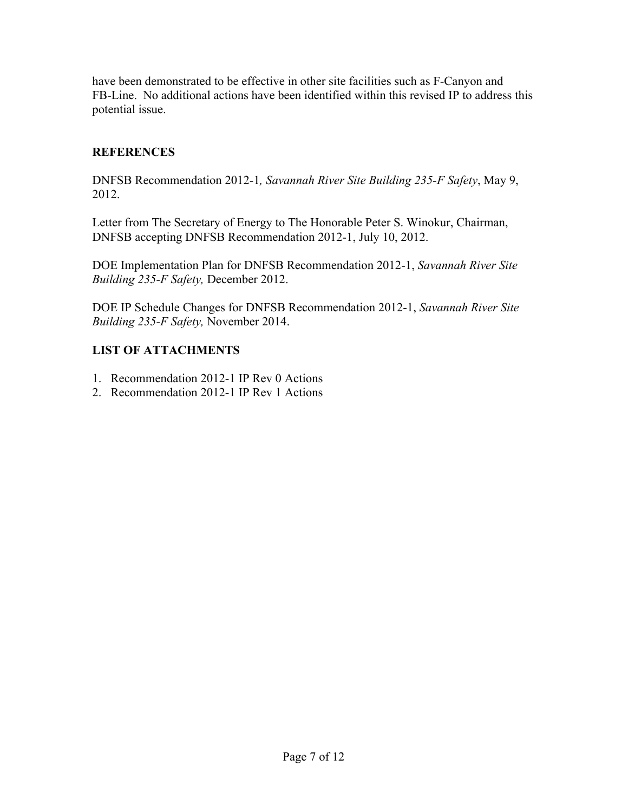have been demonstrated to be effective in other site facilities such as F-Canyon and FB-Line. No additional actions have been identified within this revised IP to address this potential issue.

## **REFERENCES**

DNFSB Recommendation 2012-1*, Savannah River Site Building 235-F Safety*, May 9, 2012.

Letter from The Secretary of Energy to The Honorable Peter S. Winokur, Chairman, DNFSB accepting DNFSB Recommendation 2012-1, July 10, 2012.

DOE Implementation Plan for DNFSB Recommendation 2012-1, *Savannah River Site Building 235-F Safety,* December 2012.

DOE IP Schedule Changes for DNFSB Recommendation 2012-1, *Savannah River Site Building 235-F Safety,* November 2014.

## **LIST OF ATTACHMENTS**

- 1. Recommendation 2012-1 IP Rev 0 Actions
- 2. Recommendation 2012-1 IP Rev 1 Actions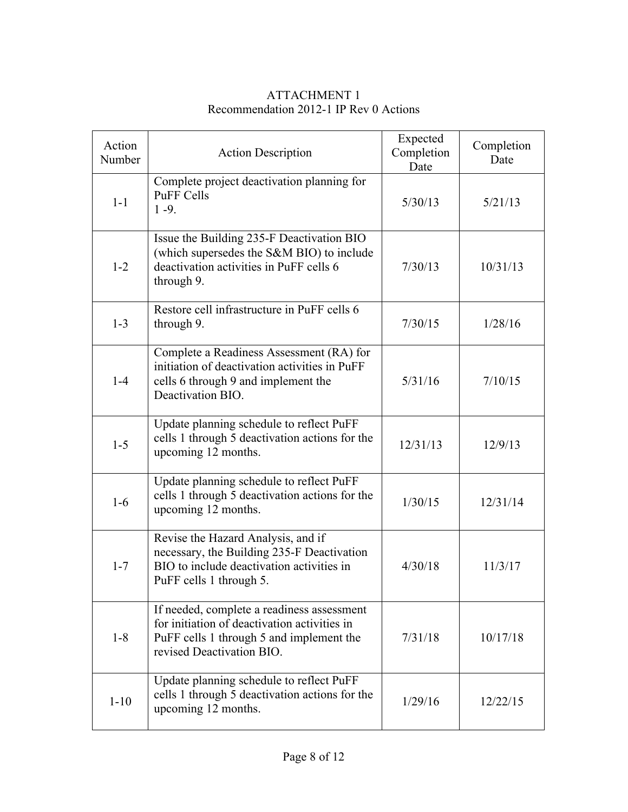| Action<br>Number | <b>Action Description</b>                                                                                                                                           | Expected<br>Completion<br>Date | Completion<br>Date |
|------------------|---------------------------------------------------------------------------------------------------------------------------------------------------------------------|--------------------------------|--------------------|
| $1-1$            | Complete project deactivation planning for<br><b>PuFF Cells</b><br>$1 - 9.$                                                                                         | 5/30/13                        | 5/21/13            |
| $1 - 2$          | Issue the Building 235-F Deactivation BIO<br>(which supersedes the S&M BIO) to include<br>deactivation activities in PuFF cells 6<br>through 9.                     | 7/30/13                        | 10/31/13           |
| $1 - 3$          | Restore cell infrastructure in PuFF cells 6<br>through 9.                                                                                                           | 7/30/15                        | 1/28/16            |
| $1-4$            | Complete a Readiness Assessment (RA) for<br>initiation of deactivation activities in PuFF<br>cells 6 through 9 and implement the<br>Deactivation BIO.               | 5/31/16                        | 7/10/15            |
| $1 - 5$          | Update planning schedule to reflect PuFF<br>cells 1 through 5 deactivation actions for the<br>upcoming 12 months.                                                   | 12/31/13                       | 12/9/13            |
| $1-6$            | Update planning schedule to reflect PuFF<br>cells 1 through 5 deactivation actions for the<br>upcoming 12 months.                                                   | 1/30/15                        | 12/31/14           |
| $1 - 7$          | Revise the Hazard Analysis, and if<br>necessary, the Building 235-F Deactivation<br>BIO to include deactivation activities in<br>PuFF cells 1 through 5.            | 4/30/18                        | 11/3/17            |
| $1 - 8$          | If needed, complete a readiness assessment<br>for initiation of deactivation activities in<br>PuFF cells 1 through 5 and implement the<br>revised Deactivation BIO. | 7/31/18                        | 10/17/18           |
| $1 - 10$         | Update planning schedule to reflect PuFF<br>cells 1 through 5 deactivation actions for the<br>upcoming 12 months.                                                   | 1/29/16                        | 12/22/15           |

#### ATTACHMENT 1 Recommendation 2012-1 IP Rev 0 Actions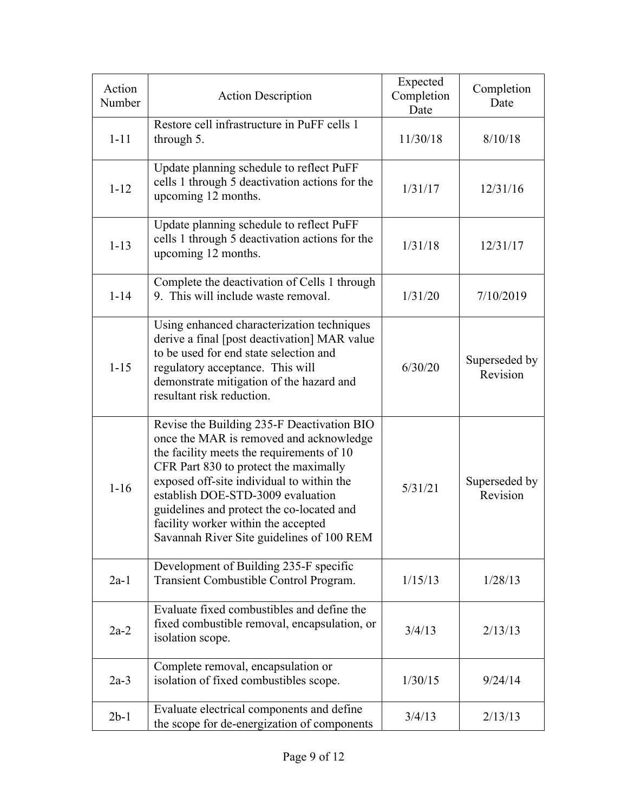| Action<br>Number | <b>Action Description</b>                                                                                                                                                                                                                                                                                                                                                                      | Expected<br>Completion<br>Date | Completion<br>Date        |
|------------------|------------------------------------------------------------------------------------------------------------------------------------------------------------------------------------------------------------------------------------------------------------------------------------------------------------------------------------------------------------------------------------------------|--------------------------------|---------------------------|
| $1 - 11$         | Restore cell infrastructure in PuFF cells 1<br>through 5.                                                                                                                                                                                                                                                                                                                                      | 11/30/18                       | 8/10/18                   |
| $1 - 12$         | Update planning schedule to reflect PuFF<br>cells 1 through 5 deactivation actions for the<br>upcoming 12 months.                                                                                                                                                                                                                                                                              | 1/31/17                        | 12/31/16                  |
| $1 - 13$         | Update planning schedule to reflect PuFF<br>cells 1 through 5 deactivation actions for the<br>upcoming 12 months.                                                                                                                                                                                                                                                                              | 1/31/18                        | 12/31/17                  |
| $1 - 14$         | Complete the deactivation of Cells 1 through<br>9. This will include waste removal.                                                                                                                                                                                                                                                                                                            | 1/31/20                        | 7/10/2019                 |
| $1 - 15$         | Using enhanced characterization techniques<br>derive a final [post deactivation] MAR value<br>to be used for end state selection and<br>regulatory acceptance. This will<br>demonstrate mitigation of the hazard and<br>resultant risk reduction.                                                                                                                                              | 6/30/20                        | Superseded by<br>Revision |
| $1 - 16$         | Revise the Building 235-F Deactivation BIO<br>once the MAR is removed and acknowledge<br>the facility meets the requirements of 10<br>CFR Part 830 to protect the maximally<br>exposed off-site individual to within the<br>establish DOE-STD-3009 evaluation<br>guidelines and protect the co-located and<br>facility worker within the accepted<br>Savannah River Site guidelines of 100 REM | 5/31/21                        | Superseded by<br>Revision |
| $2a-1$           | Development of Building 235-F specific<br>Transient Combustible Control Program.                                                                                                                                                                                                                                                                                                               | 1/15/13                        | 1/28/13                   |
| $2a-2$           | Evaluate fixed combustibles and define the<br>fixed combustible removal, encapsulation, or<br>isolation scope.                                                                                                                                                                                                                                                                                 | 3/4/13                         | 2/13/13                   |
| $2a-3$           | Complete removal, encapsulation or<br>isolation of fixed combustibles scope.                                                                                                                                                                                                                                                                                                                   | 1/30/15                        | 9/24/14                   |
| $2b-1$           | Evaluate electrical components and define<br>the scope for de-energization of components                                                                                                                                                                                                                                                                                                       | 3/4/13                         | 2/13/13                   |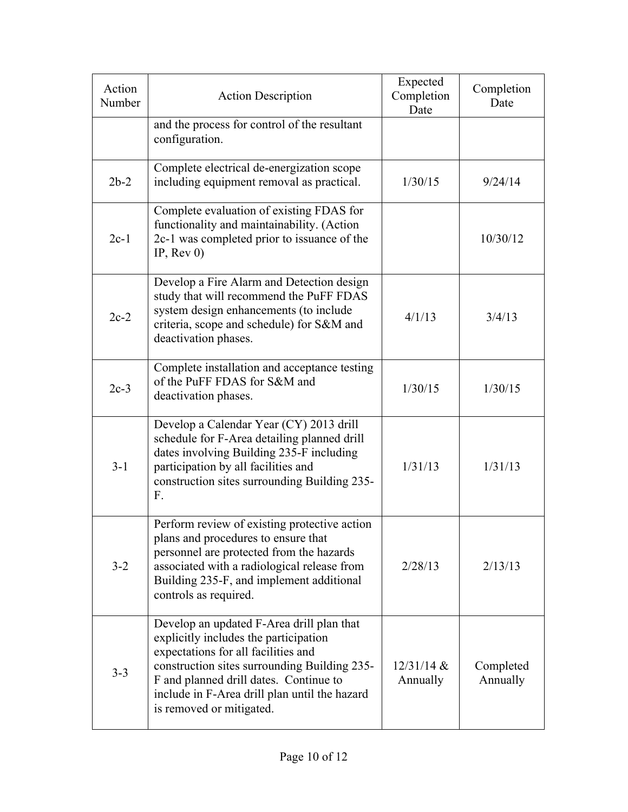| Action<br>Number | <b>Action Description</b>                                                                                                                                                                                                                                                                        | Expected<br>Completion<br>Date | Completion<br>Date    |
|------------------|--------------------------------------------------------------------------------------------------------------------------------------------------------------------------------------------------------------------------------------------------------------------------------------------------|--------------------------------|-----------------------|
|                  | and the process for control of the resultant<br>configuration.                                                                                                                                                                                                                                   |                                |                       |
| $2b-2$           | Complete electrical de-energization scope<br>including equipment removal as practical.                                                                                                                                                                                                           | 1/30/15                        | 9/24/14               |
| $2c-1$           | Complete evaluation of existing FDAS for<br>functionality and maintainability. (Action<br>2c-1 was completed prior to issuance of the<br>IP, $Rev(0)$                                                                                                                                            |                                | 10/30/12              |
| $2c-2$           | Develop a Fire Alarm and Detection design<br>study that will recommend the PuFF FDAS<br>system design enhancements (to include<br>criteria, scope and schedule) for S&M and<br>deactivation phases.                                                                                              | 4/1/13                         | 3/4/13                |
| $2c-3$           | Complete installation and acceptance testing<br>of the PuFF FDAS for S&M and<br>deactivation phases.                                                                                                                                                                                             | 1/30/15                        | 1/30/15               |
| $3 - 1$          | Develop a Calendar Year (CY) 2013 drill<br>schedule for F-Area detailing planned drill<br>dates involving Building 235-F including<br>participation by all facilities and<br>construction sites surrounding Building 235-<br>F.                                                                  | 1/31/13                        | 1/31/13               |
| $3 - 2$          | Perform review of existing protective action<br>plans and procedures to ensure that<br>personnel are protected from the hazards<br>associated with a radiological release from<br>Building 235-F, and implement additional<br>controls as required.                                              | 2/28/13                        | 2/13/13               |
| $3 - 3$          | Develop an updated F-Area drill plan that<br>explicitly includes the participation<br>expectations for all facilities and<br>construction sites surrounding Building 235-<br>F and planned drill dates. Continue to<br>include in F-Area drill plan until the hazard<br>is removed or mitigated. | $12/31/14$ &<br>Annually       | Completed<br>Annually |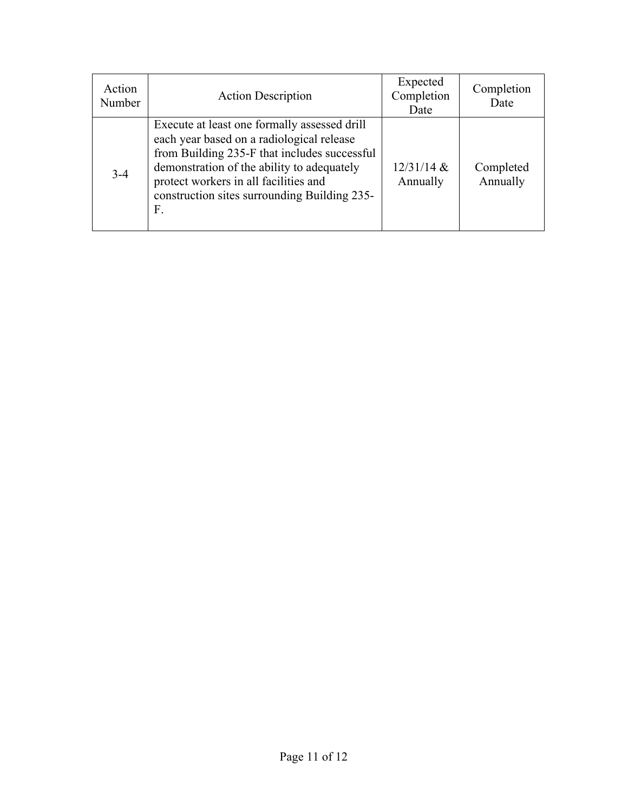| Action<br>Number | <b>Action Description</b>                                                                                                                                                                                                                                                              | Expected<br>Completion<br>Date | Completion<br>Date    |
|------------------|----------------------------------------------------------------------------------------------------------------------------------------------------------------------------------------------------------------------------------------------------------------------------------------|--------------------------------|-----------------------|
| $3 - 4$          | Execute at least one formally assessed drill<br>each year based on a radiological release<br>from Building 235-F that includes successful<br>demonstration of the ability to adequately<br>protect workers in all facilities and<br>construction sites surrounding Building 235-<br>F. | $12/31/14$ &<br>Annually       | Completed<br>Annually |